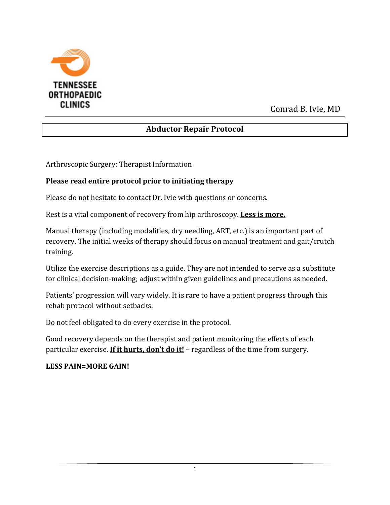

Conrad B. Ivie, MD

# **Abductor Repair Protocol**

Arthroscopic Surgery: Therapist Information

### **Please read entire protocol prior to initiating therapy**

Please do not hesitate to contact Dr. Ivie with questions or concerns.

Rest is a vital component of recovery from hip arthroscopy. **Less is more.**

Manual therapy (including modalities, dry needling, ART, etc.) is an important part of recovery. The initial weeks of therapy should focus on manual treatment and gait/crutch training.

Utilize the exercise descriptions as a guide. They are not intended to serve as a substitute for clinical decision-making; adjust within given guidelines and precautions as needed.

Patients' progression will vary widely. It is rare to have a patient progress through this rehab protocol without setbacks.

Do not feel obligated to do every exercise in the protocol.

Good recovery depends on the therapist and patient monitoring the effects of each particular exercise. **If it hurts, don't do it!** – regardless of the time from surgery.

### **LESS PAIN=MORE GAIN!**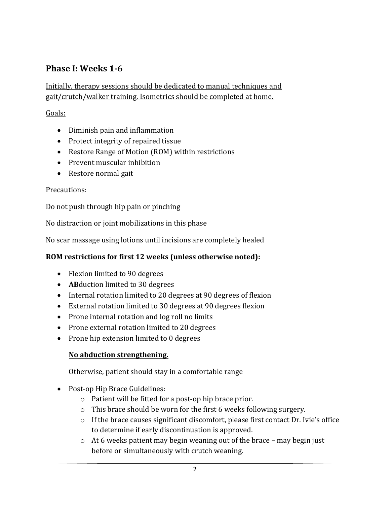# **Phase I: Weeks 1-6**

### Initially, therapy sessions should be dedicated to manual techniques and gait/crutch/walker training. Isometrics should be completed at home.

### Goals:

- Diminish pain and inflammation
- Protect integrity of repaired tissue
- Restore Range of Motion (ROM) within restrictions
- Prevent muscular inhibition
- Restore normal gait

#### Precautions:

Do not push through hip pain or pinching

No distraction or joint mobilizations in this phase

No scar massage using lotions until incisions are completely healed

### **ROM restrictions for first 12 weeks (unless otherwise noted):**

- Flexion limited to 90 degrees
- **AB**duction limited to 30 degrees
- Internal rotation limited to 20 degrees at 90 degrees of flexion
- External rotation limited to 30 degrees at 90 degrees flexion
- Prone internal rotation and log roll no limits
- Prone external rotation limited to 20 degrees
- Prone hip extension limited to 0 degrees

### **No abduction strengthening.**

Otherwise, patient should stay in a comfortable range

- Post-op Hip Brace Guidelines:
	- o Patient will be fitted for a post-op hip brace prior.
	- o This brace should be worn for the first 6 weeks following surgery.
	- $\circ$  If the brace causes significant discomfort, please first contact Dr. Ivie's office to determine if early discontinuation is approved.
	- o At 6 weeks patient may begin weaning out of the brace may begin just before or simultaneously with crutch weaning.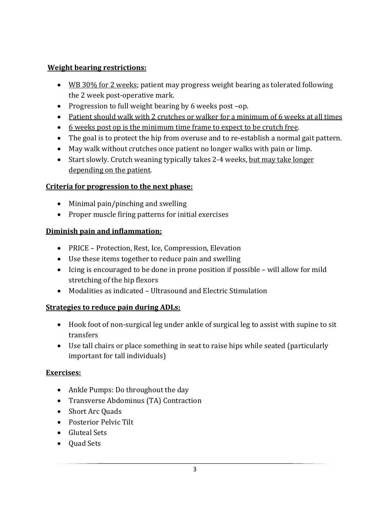## **Weight bearing restrictions:**

- WB 30% for 2 weeks; patient may progress weight bearing as tolerated following the 2 week post-operative mark.
- Progression to full weight bearing by 6 weeks post –op.
- Patient should walk with 2 crutches or walker for a minimum of 6 weeks at all times
- 6 weeks post op is the minimum time frame to expect to be crutch free.
- The goal is to protect the hip from overuse and to re-establish a normal gait pattern.
- May walk without crutches once patient no longer walks with pain or limp.
- Start slowly. Crutch weaning typically takes 2-4 weeks, but may take longer depending on the patient.

## **Criteria for progression to the next phase:**

- Minimal pain/pinching and swelling
- Proper muscle firing patterns for initial exercises

## **Diminish pain and inflammation:**

- PRICE Protection, Rest, Ice, Compression, Elevation
- Use these items together to reduce pain and swelling
- Icing is encouraged to be done in prone position if possible will allow for mild stretching of the hip flexors
- Modalities as indicated Ultrasound and Electric Stimulation

## **Strategies to reduce pain during ADLs:**

- Hook foot of non-surgical leg under ankle of surgical leg to assist with supine to sit transfers
- Use tall chairs or place something in seat to raise hips while seated (particularly important for tall individuals)

## **Exercises:**

- Ankle Pumps: Do throughout the day
- Transverse Abdominus (TA) Contraction
- Short Arc Quads
- Posterior Pelvic Tilt
- Gluteal Sets
- Quad Sets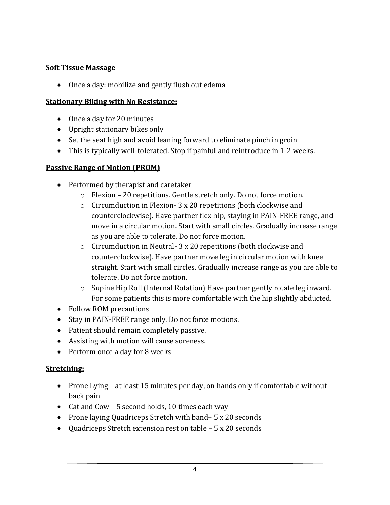## **Soft Tissue Massage**

Once a day: mobilize and gently flush out edema

### **Stationary Biking with No Resistance:**

- Once a day for 20 minutes
- Upright stationary bikes only
- Set the seat high and avoid leaning forward to eliminate pinch in groin
- This is typically well-tolerated. Stop if painful and reintroduce in 1-2 weeks.

### **Passive Range of Motion (PROM)**

- Performed by therapist and caretaker
	- o Flexion 20 repetitions. Gentle stretch only. Do not force motion.
	- o Circumduction in Flexion- 3 x 20 repetitions (both clockwise and counterclockwise). Have partner flex hip, staying in PAIN-FREE range, and move in a circular motion. Start with small circles. Gradually increase range as you are able to tolerate. Do not force motion.
	- o Circumduction in Neutral- 3 x 20 repetitions (both clockwise and counterclockwise). Have partner move leg in circular motion with knee straight. Start with small circles. Gradually increase range as you are able to tolerate. Do not force motion.
	- $\circ$  Supine Hip Roll (Internal Rotation) Have partner gently rotate leg inward. For some patients this is more comfortable with the hip slightly abducted.
- Follow ROM precautions
- Stay in PAIN-FREE range only. Do not force motions.
- Patient should remain completely passive.
- Assisting with motion will cause soreness.
- Perform once a day for 8 weeks

### **Stretching:**

- Prone Lying at least 15 minutes per day, on hands only if comfortable without back pain
- Cat and Cow 5 second holds, 10 times each way
- Prone laying Quadriceps Stretch with band– 5 x 20 seconds
- Quadriceps Stretch extension rest on table 5 x 20 seconds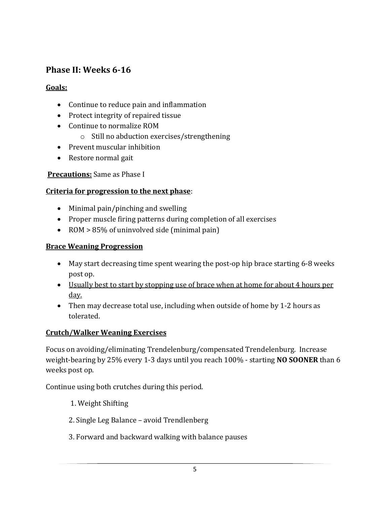# **Phase II: Weeks 6-16**

## **Goals:**

- Continue to reduce pain and inflammation
- Protect integrity of repaired tissue
- Continue to normalize ROM
	- o Still no abduction exercises/strengthening
- Prevent muscular inhibition
- Restore normal gait

## **Precautions:** Same as Phase I

## **Criteria for progression to the next phase**:

- Minimal pain/pinching and swelling
- Proper muscle firing patterns during completion of all exercises
- ROM > 85% of uninvolved side (minimal pain)

## **Brace Weaning Progression**

- May start decreasing time spent wearing the post-op hip brace starting 6-8 weeks post op.
- Usually best to start by stopping use of brace when at home for about 4 hours per day.
- Then may decrease total use, including when outside of home by 1-2 hours as tolerated.

## **Crutch/Walker Weaning Exercises**

Focus on avoiding/eliminating Trendelenburg/compensated Trendelenburg. Increase weight-bearing by 25% every 1-3 days until you reach 100% - starting **NO SOONER** than 6 weeks post op.

Continue using both crutches during this period.

- 1. Weight Shifting
- 2. Single Leg Balance avoid Trendlenberg
- 3. Forward and backward walking with balance pauses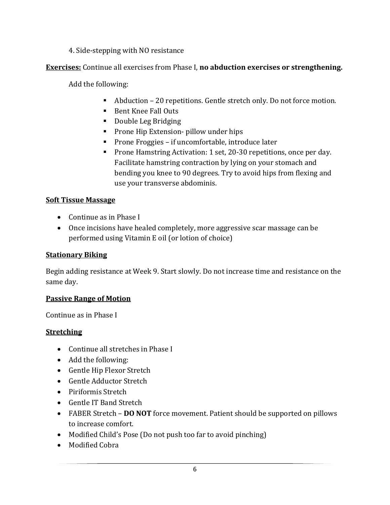### 4. Side-stepping with NO resistance

## **Exercises:** Continue all exercises from Phase I, **no abduction exercises or strengthening.**

Add the following:

- Abduction 20 repetitions. Gentle stretch only. Do not force motion.
- Bent Knee Fall Outs
- Double Leg Bridging
- **Prone Hip Extension- pillow under hips**
- **Prone Froggies if uncomfortable, introduce later**
- **Prone Hamstring Activation: 1 set, 20-30 repetitions, once per day.** Facilitate hamstring contraction by lying on your stomach and bending you knee to 90 degrees. Try to avoid hips from flexing and use your transverse abdominis.

### **Soft Tissue Massage**

- Continue as in Phase I
- Once incisions have healed completely, more aggressive scar massage can be performed using Vitamin E oil (or lotion of choice)

### **Stationary Biking**

Begin adding resistance at Week 9. Start slowly. Do not increase time and resistance on the same day.

### **Passive Range of Motion**

Continue as in Phase I

#### **Stretching**

- Continue all stretches in Phase I
- Add the following:
- Gentle Hip Flexor Stretch
- Gentle Adductor Stretch
- Piriformis Stretch
- Gentle IT Band Stretch
- FABER Stretch **DO NOT** force movement. Patient should be supported on pillows to increase comfort.
- Modified Child's Pose (Do not push too far to avoid pinching)
- Modified Cobra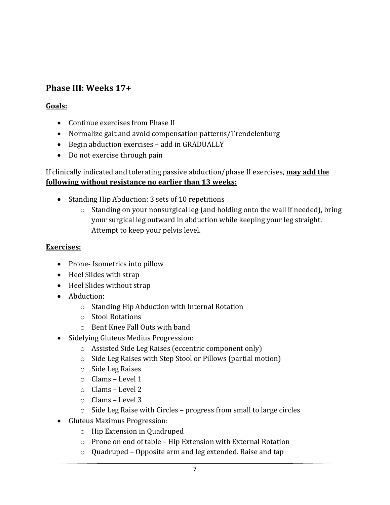# **Phase III: Weeks 17+**

## **Goals:**

- Continue exercises from Phase II
- Normalize gait and avoid compensation patterns/Trendelenburg
- Begin abduction exercises add in GRADUALLY
- Do not exercise through pain

## If clinically indicated and tolerating passive abduction/phase II exercises, **may add the following without resistance no earlier than 13 weeks:**

- Standing Hip Abduction: 3 sets of 10 repetitions
	- o Standing on your nonsurgical leg (and holding onto the wall if needed), bring your surgical leg outward in abduction while keeping your leg straight. Attempt to keep your pelvis level.

## **Exercises:**

- Prone- Isometrics into pillow
- Heel Slides with strap
- Heel Slides without strap
- Abduction:
	- o Standing Hip Abduction with Internal Rotation
	- o Stool Rotations
	- o Bent Knee Fall Outs with band
- Sidelying Gluteus Medius Progression:
	- o Assisted Side Leg Raises (eccentric component only)
	- o Side Leg Raises with Step Stool or Pillows (partial motion)
	- o Side Leg Raises
	- o Clams Level 1
	- o Clams Level 2
	- o Clams Level 3
	- o Side Leg Raise with Circles progress from small to large circles
- Gluteus Maximus Progression:
	- o Hip Extension in Quadruped
	- o Prone on end of table Hip Extension with External Rotation
	- o Quadruped Opposite arm and leg extended. Raise and tap